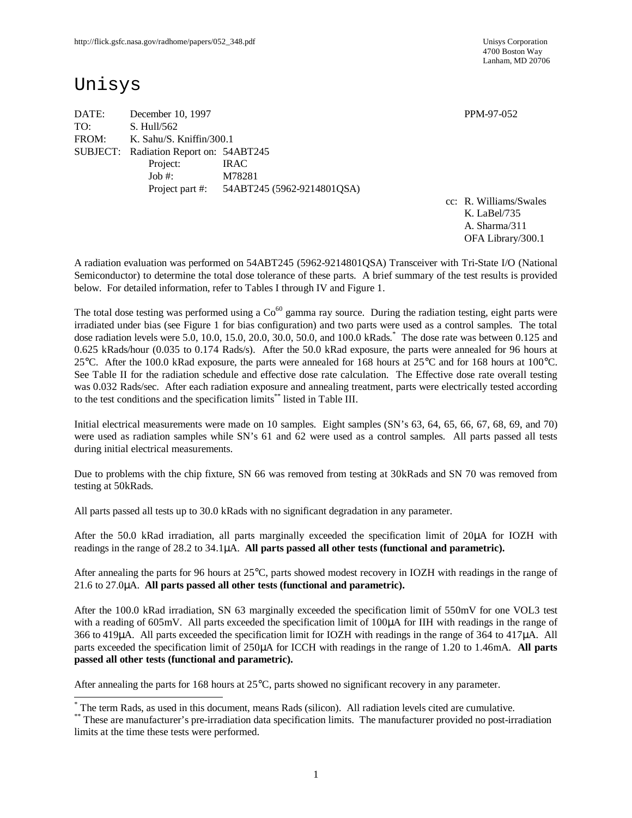4700 Boston Way Lanham, MD 20706

# Unisys

 $\overline{a}$ 

DATE: December 10, 1997 **PPM-97-052** TO: S. Hull/562 FROM: K. Sahu/S. Kniffin/300.1 SUBJECT: Radiation Report on: 54ABT245 Project: IRAC Job #: M78281 Project part #: 54ABT245 (5962-9214801QSA)

cc: R. Williams/Swales K. LaBel/735 A. Sharma/311 OFA Library/300.1

A radiation evaluation was performed on 54ABT245 (5962-9214801QSA) Transceiver with Tri-State I/O (National Semiconductor) to determine the total dose tolerance of these parts. A brief summary of the test results is provided below. For detailed information, refer to Tables I through IV and Figure 1.

The total dose testing was performed using a  $Co<sup>60</sup>$  gamma ray source. During the radiation testing, eight parts were irradiated under bias (see Figure 1 for bias configuration) and two parts were used as a control samples. The total dose radiation levels were 5.0, 10.0, 15.0, 20.0, 30.0, 50.0, and 100.0 kRads. \* The dose rate was between 0.125 and 0.625 kRads/hour (0.035 to 0.174 Rads/s). After the 50.0 kRad exposure, the parts were annealed for 96 hours at 25°C. After the 100.0 kRad exposure, the parts were annealed for 168 hours at 25°C and for 168 hours at 100°C. See Table II for the radiation schedule and effective dose rate calculation. The Effective dose rate overall testing was 0.032 Rads/sec. After each radiation exposure and annealing treatment, parts were electrically tested according to the test conditions and the specification limits<sup>\*\*</sup> listed in Table III.

Initial electrical measurements were made on 10 samples. Eight samples (SN's 63, 64, 65, 66, 67, 68, 69, and 70) were used as radiation samples while SN's 61 and 62 were used as a control samples. All parts passed all tests during initial electrical measurements.

Due to problems with the chip fixture, SN 66 was removed from testing at 30kRads and SN 70 was removed from testing at 50kRads.

All parts passed all tests up to 30.0 kRads with no significant degradation in any parameter.

After the 50.0 kRad irradiation, all parts marginally exceeded the specification limit of 20μA for IOZH with readings in the range of 28.2 to 34.1μA. **All parts passed all other tests (functional and parametric).**

After annealing the parts for 96 hours at 25°C, parts showed modest recovery in IOZH with readings in the range of 21.6 to 27.0μA. **All parts passed all other tests (functional and parametric).**

After the 100.0 kRad irradiation, SN 63 marginally exceeded the specification limit of 550mV for one VOL3 test with a reading of 605mV. All parts exceeded the specification limit of 100μA for IIH with readings in the range of 366 to 419μA. All parts exceeded the specification limit for IOZH with readings in the range of 364 to 417μA. All parts exceeded the specification limit of 250μA for ICCH with readings in the range of 1.20 to 1.46mA. **All parts passed all other tests (functional and parametric).**

After annealing the parts for 168 hours at 25°C, parts showed no significant recovery in any parameter.

<sup>\*</sup> The term Rads, as used in this document, means Rads (silicon). All radiation levels cited are cumulative.

<sup>\*\*</sup> These are manufacturer's pre-irradiation data specification limits. The manufacturer provided no post-irradiation limits at the time these tests were performed.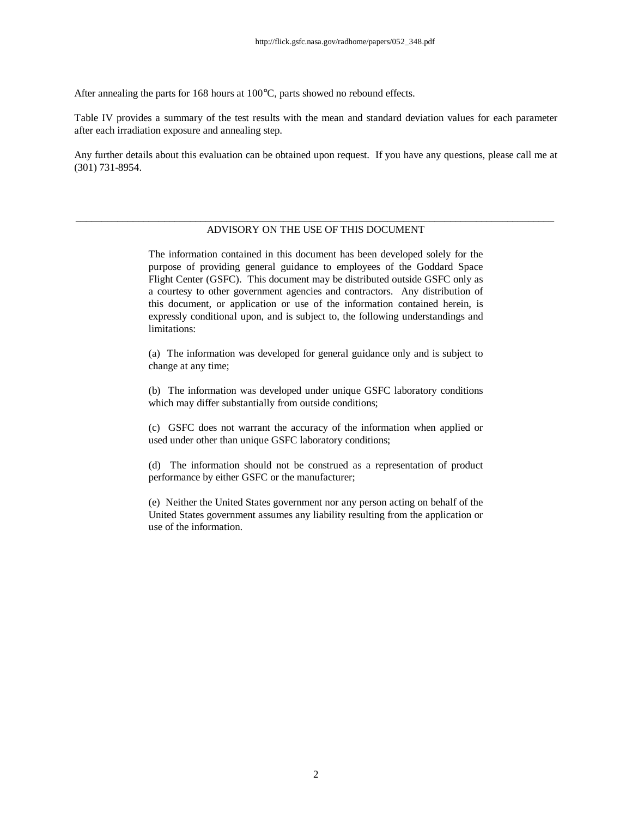After annealing the parts for 168 hours at 100°C, parts showed no rebound effects.

Table IV provides a summary of the test results with the mean and standard deviation values for each parameter after each irradiation exposure and annealing step.

Any further details about this evaluation can be obtained upon request. If you have any questions, please call me at (301) 731-8954.

#### \_\_\_\_\_\_\_\_\_\_\_\_\_\_\_\_\_\_\_\_\_\_\_\_\_\_\_\_\_\_\_\_\_\_\_\_\_\_\_\_\_\_\_\_\_\_\_\_\_\_\_\_\_\_\_\_\_\_\_\_\_\_\_\_\_\_\_\_\_\_\_\_\_\_\_\_\_\_\_\_\_\_\_\_\_\_\_\_\_\_\_\_ ADVISORY ON THE USE OF THIS DOCUMENT

The information contained in this document has been developed solely for the purpose of providing general guidance to employees of the Goddard Space Flight Center (GSFC). This document may be distributed outside GSFC only as a courtesy to other government agencies and contractors. Any distribution of this document, or application or use of the information contained herein, is expressly conditional upon, and is subject to, the following understandings and limitations:

(a) The information was developed for general guidance only and is subject to change at any time;

(b) The information was developed under unique GSFC laboratory conditions which may differ substantially from outside conditions;

(c) GSFC does not warrant the accuracy of the information when applied or used under other than unique GSFC laboratory conditions;

(d) The information should not be construed as a representation of product performance by either GSFC or the manufacturer;

(e) Neither the United States government nor any person acting on behalf of the United States government assumes any liability resulting from the application or use of the information.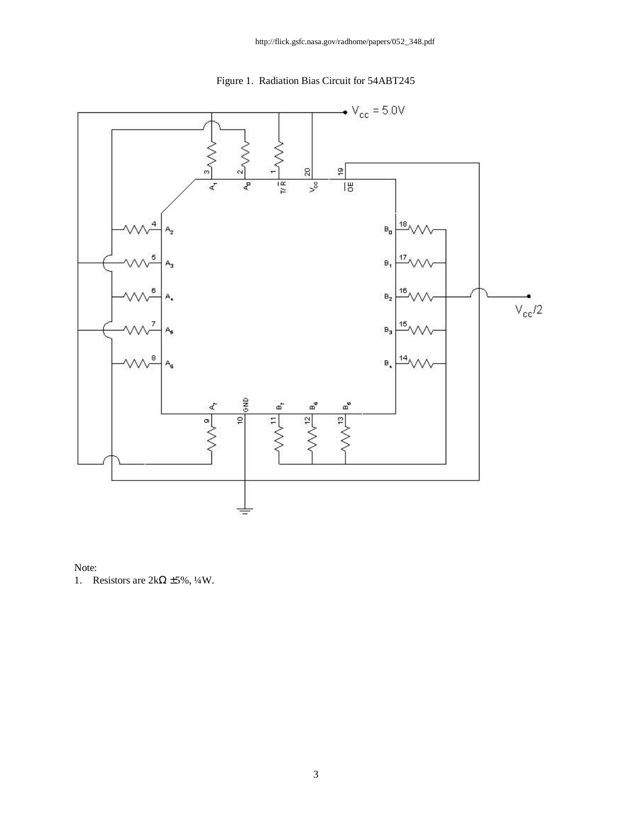



### Note:

1. Resistors are  $2k\Omega \pm 5\%, \frac{1}{4}W$ .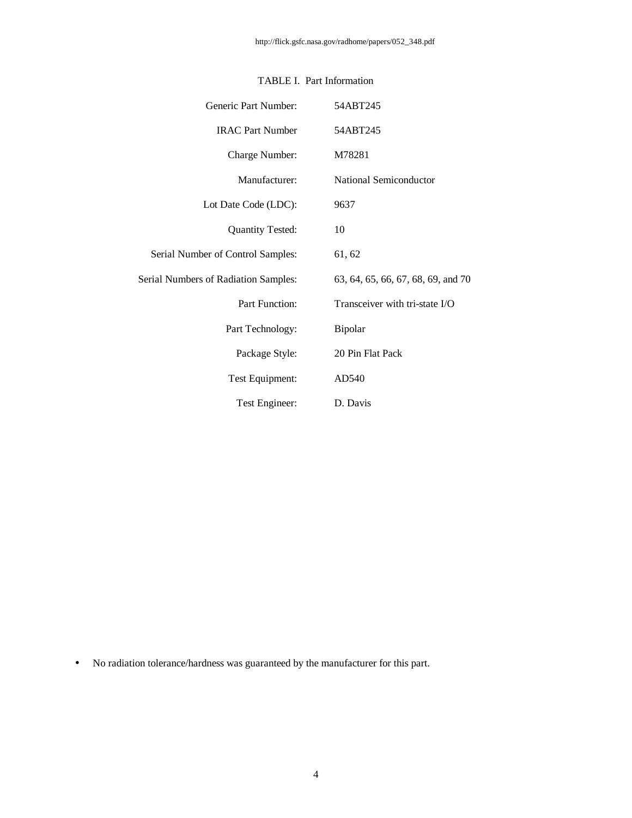| Generic Part Number:                        | 54ABT245                           |
|---------------------------------------------|------------------------------------|
| <b>IRAC Part Number</b>                     | 54ABT245                           |
| Charge Number:                              | M78281                             |
| Manufacturer:                               | National Semiconductor             |
| Lot Date Code (LDC):                        | 9637                               |
| <b>Quantity Tested:</b>                     | 10                                 |
| Serial Number of Control Samples:           | 61, 62                             |
| <b>Serial Numbers of Radiation Samples:</b> | 63, 64, 65, 66, 67, 68, 69, and 70 |
| Part Function:                              | Transceiver with tri-state I/O     |
| Part Technology:                            | Bipolar                            |
| Package Style:                              | 20 Pin Flat Pack                   |
| Test Equipment:                             | AD540                              |
| Test Engineer:                              | D. Davis                           |

## TABLE I. Part Information

• No radiation tolerance/hardness was guaranteed by the manufacturer for this part.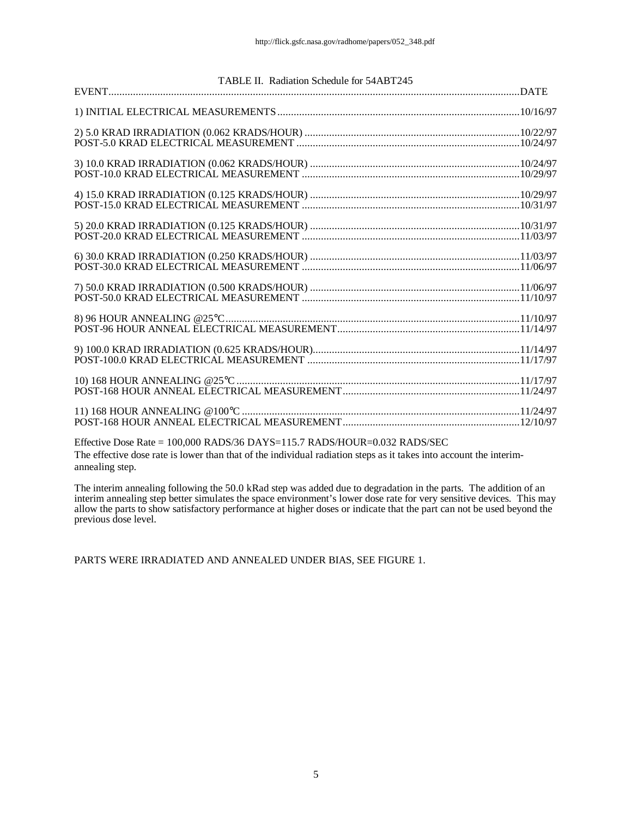| TABLE II. Radiation Schedule for 54ABT245 |  |
|-------------------------------------------|--|
|                                           |  |
|                                           |  |
|                                           |  |
|                                           |  |
|                                           |  |
|                                           |  |
|                                           |  |
|                                           |  |
|                                           |  |
|                                           |  |
|                                           |  |
|                                           |  |

Effective Dose Rate = 100,000 RADS/36 DAYS=115.7 RADS/HOUR=0.032 RADS/SEC The effective dose rate is lower than that of the individual radiation steps as it takes into account the interimannealing step.

The interim annealing following the 50.0 kRad step was added due to degradation in the parts. The addition of an interim annealing step better simulates the space environment's lower dose rate for very sensitive devices. This may allow the parts to show satisfactory performance at higher doses or indicate that the part can not be used beyond the previous dose level.

PARTS WERE IRRADIATED AND ANNEALED UNDER BIAS, SEE FIGURE 1.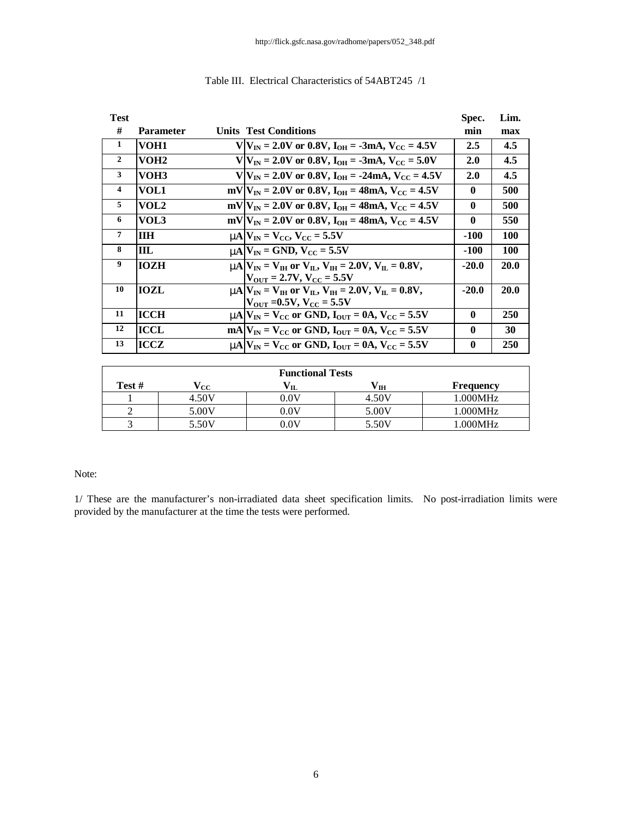| <b>Test</b>    |                  |                                                                                                     | Spec.        | Lim.       |
|----------------|------------------|-----------------------------------------------------------------------------------------------------|--------------|------------|
| #              | <b>Parameter</b> | <b>Units Test Conditions</b>                                                                        | min          | max        |
| 1              | VOH1             | $V/V_{IN} = 2.0V$ or 0.8V, $I_{OH} = -3mA$ , $V_{CC} = 4.5V$                                        | 2.5          | 4.5        |
| $\overline{2}$ | VOH <sub>2</sub> | $V/V_{IN} = 2.0V$ or 0.8V, $I_{OH} = -3mA$ , $V_{CC} = 5.0V$                                        | 2.0          | 4.5        |
| 3              | VOH3             | $V/V_{IN} = 2.0V$ or 0.8V, $I_{OH} = -24mA$ , $V_{CC} = 4.5V$                                       | 2.0          | 4.5        |
| $\overline{4}$ | VOL1             | $mV V_{IN} = 2.0V$ or 0.8V, $I_{OH} = 48mA$ , $V_{CC} = 4.5V$                                       | $\mathbf{0}$ | 500        |
| 5              | VOL2             | $mV V_{IN} = 2.0V$ or 0.8V, $I_{OH} = 48mA$ , $V_{CC} = 4.5V$                                       | $\mathbf{0}$ | 500        |
| 6              | VOL3             | mV  $V_{IN}$ = 2.0V or 0.8V, $I_{OH}$ = 48mA, $V_{CC}$ = 4.5V                                       | $\bf{0}$     | 550        |
| $\overline{7}$ | <b>IIH</b>       | $mN = V_{CC}$ , $V_{CC} = 5.5V$                                                                     | $-100$       | <b>100</b> |
| 8              | ШL               | $mN$ $V_{IN}$ = GND, $V_{CC}$ = 5.5V                                                                | -100         | <b>100</b> |
| 9              | <b>IOZH</b>      | <b>nn</b> $ V_{IN} = V_{IH}$ or $V_{II}$ , $V_{IH} = 2.0 V$ , $V_{II} = 0.8 V$ ,                    | $-20.0$      | 20.0       |
|                |                  | $V_{\rm OUT} = 2.7 V, V_{\rm CC} = 5.5 V$                                                           |              |            |
| 10             | <b>IOZL</b>      | $mA V_{IN} = V_{IH}$ or $V_{II}$ , $V_{IH} = 2.0V$ , $V_{II} = 0.8V$ ,                              | $-20.0$      | 20.0       |
|                |                  | $ V_{\text{OUT}} $ =0.5V, $V_{\text{CC}}$ = 5.5V                                                    |              |            |
| 11             | ICCH             | $\text{mA}$ $V_{\text{IN}}$ = $V_{\text{CC}}$ or GND, $I_{\text{OUT}}$ = 0A, $V_{\text{CC}}$ = 5.5V | $\mathbf{0}$ | 250        |
| 12             | ICCL             | $mA V_{IN} = V_{CC}$ or GND, $I_{OUT} = 0A$ , $V_{CC} = 5.5V$                                       | $\mathbf{0}$ | 30         |
| 13             | ICCZ             | $mA/V_{\text{IN}} = V_{\text{CC}}$ or GND, $I_{\text{OUT}} = 0A$ , $V_{\text{CC}} = 5.5V$           | $\bf{0}$     | 250        |

## Table III. Electrical Characteristics of 54ABT245 /1

| <b>Functional Tests</b> |       |                 |       |           |  |  |  |  |  |  |  |
|-------------------------|-------|-----------------|-------|-----------|--|--|--|--|--|--|--|
| Test #                  | 'cc   |                 | ΊH    | Frequency |  |  |  |  |  |  |  |
|                         | 4.50V | $0.0\mathrm{V}$ | 4.50V | 1.000MHz  |  |  |  |  |  |  |  |
|                         | 5.00V | $0.0\mathrm{V}$ | 5.00V | 1.000MHz  |  |  |  |  |  |  |  |
|                         | 5.50V | $0.0\mathrm{V}$ | 5.50V | 1.000MHz  |  |  |  |  |  |  |  |

#### Note:

1/ These are the manufacturer's non-irradiated data sheet specification limits. No post-irradiation limits were provided by the manufacturer at the time the tests were performed.